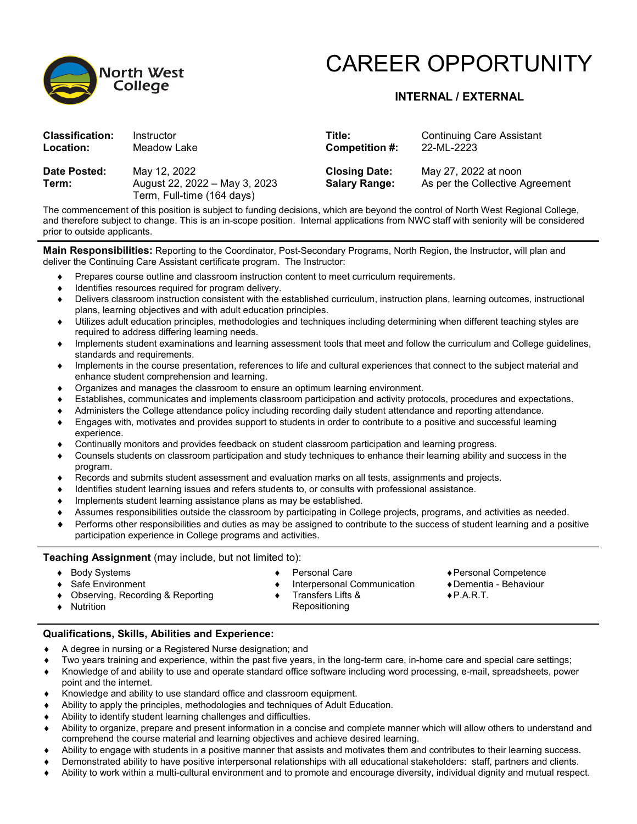

## CAREER OPPORTUNITY

### **INTERNAL / EXTERNAL**

| <b>Classification:</b> | Instructor                                                                  | Title:                                       | <b>Continuing Care Assistant</b>                        |
|------------------------|-----------------------------------------------------------------------------|----------------------------------------------|---------------------------------------------------------|
| Location:              | Meadow Lake                                                                 | <b>Competition #:</b>                        | 22-ML-2223                                              |
| Date Posted:<br>Term:  | May 12, 2022<br>August 22, 2022 - May 3, 2023<br>Term, Full-time (164 days) | <b>Closing Date:</b><br><b>Salary Range:</b> | May 27, 2022 at noon<br>As per the Collective Agreement |

The commencement of this position is subject to funding decisions, which are beyond the control of North West Regional College, and therefore subject to change. This is an in-scope position. Internal applications from NWC staff with seniority will be considered prior to outside applicants.

**Main Responsibilities:** Reporting to the Coordinator, Post-Secondary Programs, North Region, the Instructor, will plan and deliver the Continuing Care Assistant certificate program. The Instructor:

- Prepares course outline and classroom instruction content to meet curriculum requirements.
- Identifies resources required for program delivery.
- Delivers classroom instruction consistent with the established curriculum, instruction plans, learning outcomes, instructional plans, learning objectives and with adult education principles.
- Utilizes adult education principles, methodologies and techniques including determining when different teaching styles are required to address differing learning needs.
- Implements student examinations and learning assessment tools that meet and follow the curriculum and College guidelines, standards and requirements.
- Implements in the course presentation, references to life and cultural experiences that connect to the subject material and enhance student comprehension and learning.
- Organizes and manages the classroom to ensure an optimum learning environment.
- Establishes, communicates and implements classroom participation and activity protocols, procedures and expectations.
- Administers the College attendance policy including recording daily student attendance and reporting attendance.
- Engages with, motivates and provides support to students in order to contribute to a positive and successful learning experience.
- Continually monitors and provides feedback on student classroom participation and learning progress.
- Counsels students on classroom participation and study techniques to enhance their learning ability and success in the program.
- Records and submits student assessment and evaluation marks on all tests, assignments and projects.
- Identifies student learning issues and refers students to, or consults with professional assistance.
- Implements student learning assistance plans as may be established.
- Assumes responsibilities outside the classroom by participating in College projects, programs, and activities as needed.
- Performs other responsibilities and duties as may be assigned to contribute to the success of student learning and a positive participation experience in College programs and activities.

Interpersonal Communication

#### **Teaching Assignment** (may include, but not limited to):

♦ Body Systems ♦ Safe Environment

♦ Nutrition

♦ Personal Care

- ♦Personal Competence
- ♦Dementia Behaviour
- $\bullet$  P.A.R.T.
- ♦ Observing, Recording & Reporting
- ♦ Transfers Lifts & Repositioning

#### **Qualifications, Skills, Abilities and Experience:**

- A degree in nursing or a Registered Nurse designation; and
- Two years training and experience, within the past five years, in the long-term care, in-home care and special care settings;
- ♦ Knowledge of and ability to use and operate standard office software including word processing, e-mail, spreadsheets, power point and the internet.
- Knowledge and ability to use standard office and classroom equipment.
- Ability to apply the principles, methodologies and techniques of Adult Education.
- Ability to identify student learning challenges and difficulties.
- Ability to organize, prepare and present information in a concise and complete manner which will allow others to understand and comprehend the course material and learning objectives and achieve desired learning.
- ♦ Ability to engage with students in a positive manner that assists and motivates them and contributes to their learning success.
- Demonstrated ability to have positive interpersonal relationships with all educational stakeholders: staff, partners and clients.
- Ability to work within a multi-cultural environment and to promote and encourage diversity, individual dignity and mutual respect.